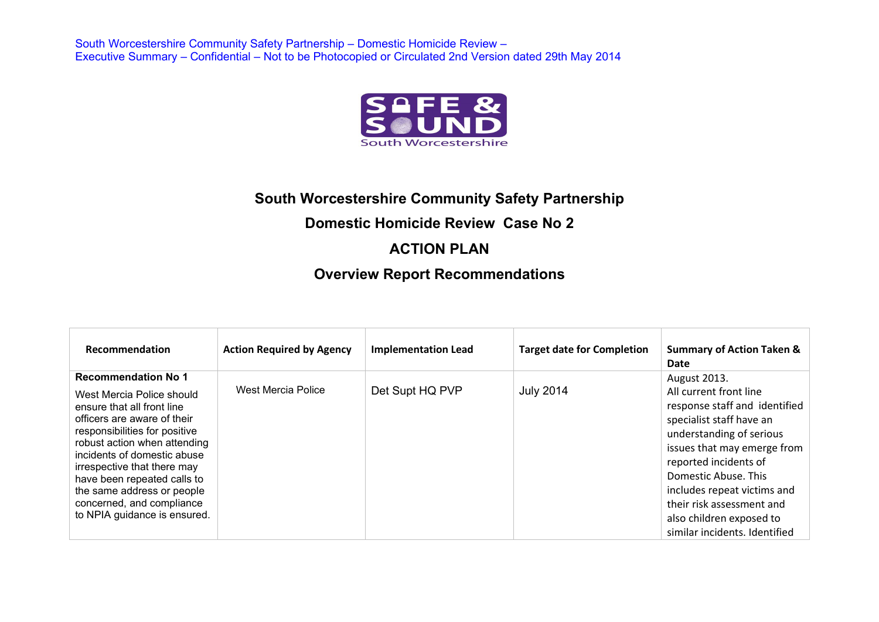

## **South Worcestershire Community Safety Partnership**

### **Domestic Homicide Review Case No 2**

### **ACTION PLAN**

## **Overview Report Recommendations**

| Recommendation                                                                                                                                                                                                                                                                                                                                                                | <b>Action Required by Agency</b> | <b>Implementation Lead</b> | <b>Target date for Completion</b> | <b>Summary of Action Taken &amp;</b><br>Date                                                                                                                                                                                                                                                                                             |
|-------------------------------------------------------------------------------------------------------------------------------------------------------------------------------------------------------------------------------------------------------------------------------------------------------------------------------------------------------------------------------|----------------------------------|----------------------------|-----------------------------------|------------------------------------------------------------------------------------------------------------------------------------------------------------------------------------------------------------------------------------------------------------------------------------------------------------------------------------------|
| <b>Recommendation No 1</b><br>West Mercia Police should<br>ensure that all front line<br>officers are aware of their<br>responsibilities for positive<br>robust action when attending<br>incidents of domestic abuse<br>irrespective that there may<br>have been repeated calls to<br>the same address or people<br>concerned, and compliance<br>to NPIA guidance is ensured. | West Mercia Police               | Det Supt HQ PVP            | <b>July 2014</b>                  | August 2013.<br>All current front line<br>response staff and identified<br>specialist staff have an<br>understanding of serious<br>issues that may emerge from<br>reported incidents of<br>Domestic Abuse. This<br>includes repeat victims and<br>their risk assessment and<br>also children exposed to<br>similar incidents. Identified |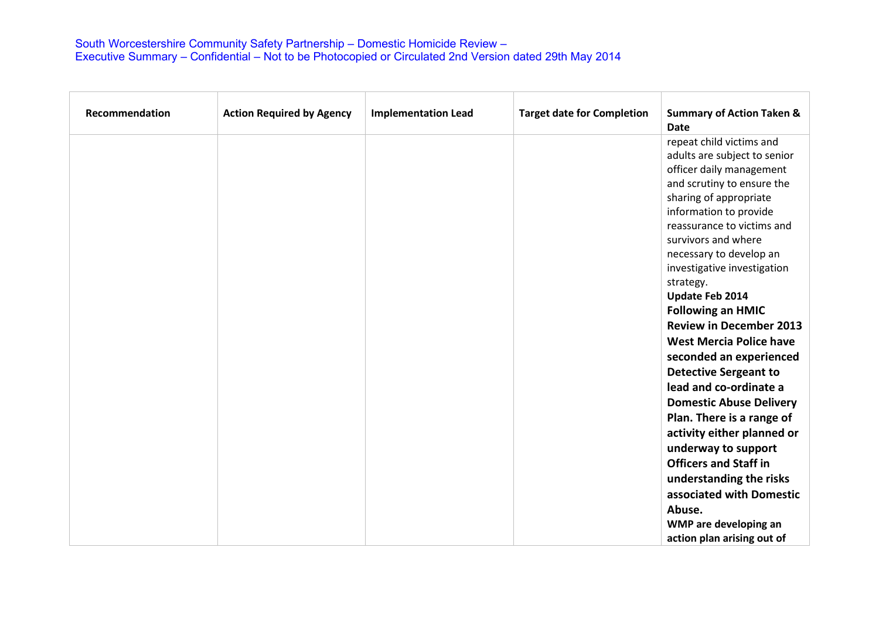| Recommendation | <b>Action Required by Agency</b> | <b>Implementation Lead</b> | <b>Target date for Completion</b> | <b>Summary of Action Taken &amp;</b><br><b>Date</b> |
|----------------|----------------------------------|----------------------------|-----------------------------------|-----------------------------------------------------|
|                |                                  |                            |                                   | repeat child victims and                            |
|                |                                  |                            |                                   | adults are subject to senior                        |
|                |                                  |                            |                                   | officer daily management                            |
|                |                                  |                            |                                   | and scrutiny to ensure the                          |
|                |                                  |                            |                                   | sharing of appropriate                              |
|                |                                  |                            |                                   | information to provide                              |
|                |                                  |                            |                                   | reassurance to victims and<br>survivors and where   |
|                |                                  |                            |                                   | necessary to develop an                             |
|                |                                  |                            |                                   | investigative investigation                         |
|                |                                  |                            |                                   | strategy.                                           |
|                |                                  |                            |                                   | Update Feb 2014                                     |
|                |                                  |                            |                                   | <b>Following an HMIC</b>                            |
|                |                                  |                            |                                   | <b>Review in December 2013</b>                      |
|                |                                  |                            |                                   | <b>West Mercia Police have</b>                      |
|                |                                  |                            |                                   | seconded an experienced                             |
|                |                                  |                            |                                   | <b>Detective Sergeant to</b>                        |
|                |                                  |                            |                                   | lead and co-ordinate a                              |
|                |                                  |                            |                                   | <b>Domestic Abuse Delivery</b>                      |
|                |                                  |                            |                                   | Plan. There is a range of                           |
|                |                                  |                            |                                   | activity either planned or                          |
|                |                                  |                            |                                   | underway to support                                 |
|                |                                  |                            |                                   | <b>Officers and Staff in</b>                        |
|                |                                  |                            |                                   | understanding the risks                             |
|                |                                  |                            |                                   | associated with Domestic                            |
|                |                                  |                            |                                   | Abuse.                                              |
|                |                                  |                            |                                   | WMP are developing an                               |
|                |                                  |                            |                                   | action plan arising out of                          |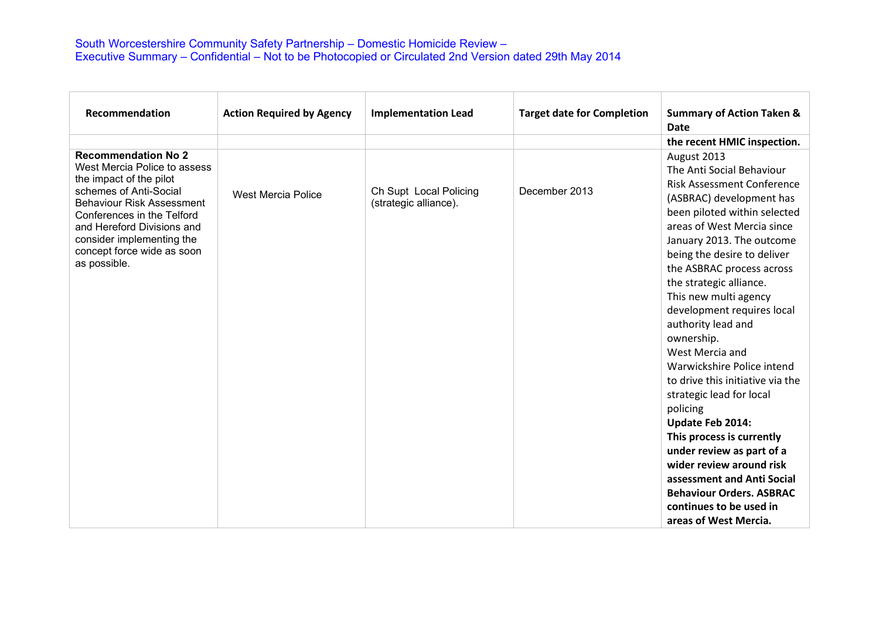| Recommendation                                          | <b>Action Required by Agency</b> | <b>Implementation Lead</b> | <b>Target date for Completion</b> | <b>Summary of Action Taken &amp;</b> |
|---------------------------------------------------------|----------------------------------|----------------------------|-----------------------------------|--------------------------------------|
|                                                         |                                  |                            |                                   | <b>Date</b>                          |
|                                                         |                                  |                            |                                   | the recent HMIC inspection.          |
| <b>Recommendation No 2</b>                              |                                  |                            |                                   | August 2013                          |
| West Mercia Police to assess                            |                                  |                            |                                   | The Anti Social Behaviour            |
| the impact of the pilot<br>schemes of Anti-Social       |                                  | Ch Supt Local Policing     | December 2013                     | <b>Risk Assessment Conference</b>    |
| <b>Behaviour Risk Assessment</b>                        | <b>West Mercia Police</b>        | (strategic alliance).      |                                   | (ASBRAC) development has             |
| Conferences in the Telford                              |                                  |                            |                                   | been piloted within selected         |
| and Hereford Divisions and                              |                                  |                            |                                   | areas of West Mercia since           |
| consider implementing the<br>concept force wide as soon |                                  |                            |                                   | January 2013. The outcome            |
| as possible.                                            |                                  |                            |                                   | being the desire to deliver          |
|                                                         |                                  |                            |                                   | the ASBRAC process across            |
|                                                         |                                  |                            |                                   | the strategic alliance.              |
|                                                         |                                  |                            |                                   | This new multi agency                |
|                                                         |                                  |                            |                                   | development requires local           |
|                                                         |                                  |                            |                                   | authority lead and<br>ownership.     |
|                                                         |                                  |                            |                                   | West Mercia and                      |
|                                                         |                                  |                            |                                   | Warwickshire Police intend           |
|                                                         |                                  |                            |                                   | to drive this initiative via the     |
|                                                         |                                  |                            |                                   | strategic lead for local             |
|                                                         |                                  |                            |                                   | policing                             |
|                                                         |                                  |                            |                                   | Update Feb 2014:                     |
|                                                         |                                  |                            |                                   | This process is currently            |
|                                                         |                                  |                            |                                   | under review as part of a            |
|                                                         |                                  |                            |                                   | wider review around risk             |
|                                                         |                                  |                            |                                   | assessment and Anti Social           |
|                                                         |                                  |                            |                                   | <b>Behaviour Orders. ASBRAC</b>      |
|                                                         |                                  |                            |                                   | continues to be used in              |
|                                                         |                                  |                            |                                   | areas of West Mercia.                |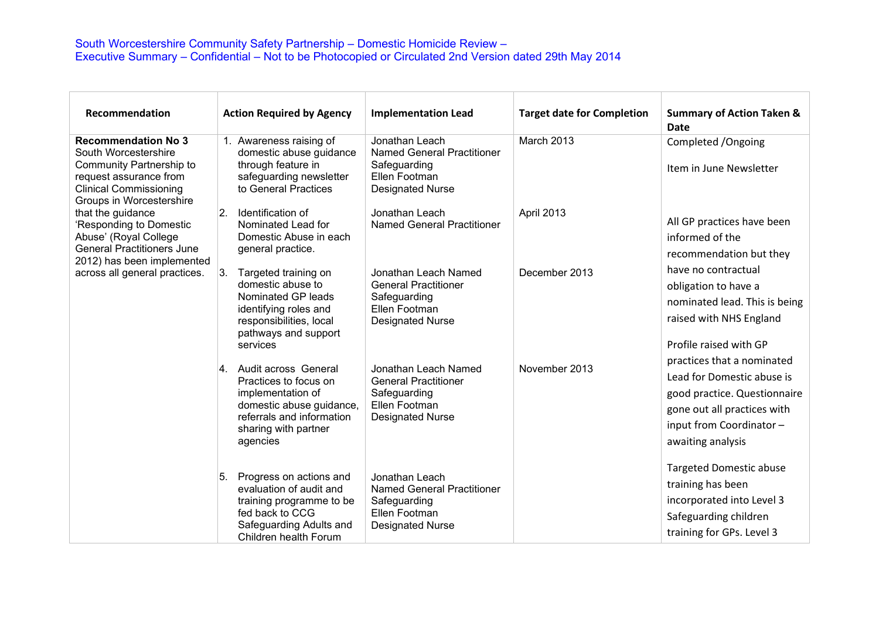| Recommendation                                                                                                                                                        | <b>Action Required by Agency</b>                                                                                                                                   | <b>Implementation Lead</b>                                                                                      | <b>Target date for Completion</b> | <b>Summary of Action Taken &amp;</b><br>Date                                                                                                                            |
|-----------------------------------------------------------------------------------------------------------------------------------------------------------------------|--------------------------------------------------------------------------------------------------------------------------------------------------------------------|-----------------------------------------------------------------------------------------------------------------|-----------------------------------|-------------------------------------------------------------------------------------------------------------------------------------------------------------------------|
| <b>Recommendation No 3</b><br>South Worcestershire<br>Community Partnership to<br>request assurance from<br><b>Clinical Commissioning</b><br>Groups in Worcestershire | 1. Awareness raising of<br>domestic abuse guidance<br>through feature in<br>safeguarding newsletter<br>to General Practices                                        | Jonathan Leach<br><b>Named General Practitioner</b><br>Safeguarding<br>Ellen Footman<br><b>Designated Nurse</b> | March 2013                        | Completed / Ongoing<br>Item in June Newsletter                                                                                                                          |
| that the guidance<br>'Responding to Domestic<br>Abuse' (Royal College<br><b>General Practitioners June</b><br>2012) has been implemented                              | Identification of<br>$\overline{2}$ .<br>Nominated Lead for<br>Domestic Abuse in each<br>general practice.                                                         | Jonathan Leach<br><b>Named General Practitioner</b>                                                             | April 2013                        | All GP practices have been<br>informed of the<br>recommendation but they                                                                                                |
| across all general practices.                                                                                                                                         | Targeted training on<br>13.<br>domestic abuse to<br>Nominated GP leads<br>identifying roles and<br>responsibilities, local<br>pathways and support<br>services     | Jonathan Leach Named<br><b>General Practitioner</b><br>Safeguarding<br>Ellen Footman<br><b>Designated Nurse</b> | December 2013                     | have no contractual<br>obligation to have a<br>nominated lead. This is being<br>raised with NHS England<br>Profile raised with GP                                       |
|                                                                                                                                                                       | 4. Audit across General<br>Practices to focus on<br>implementation of<br>domestic abuse guidance,<br>referrals and information<br>sharing with partner<br>agencies | Jonathan Leach Named<br><b>General Practitioner</b><br>Safeguarding<br>Ellen Footman<br><b>Designated Nurse</b> | November 2013                     | practices that a nominated<br>Lead for Domestic abuse is<br>good practice. Questionnaire<br>gone out all practices with<br>input from Coordinator-<br>awaiting analysis |
|                                                                                                                                                                       | Progress on actions and<br>5.<br>evaluation of audit and<br>training programme to be<br>fed back to CCG<br>Safeguarding Adults and<br>Children health Forum        | Jonathan Leach<br><b>Named General Practitioner</b><br>Safeguarding<br>Ellen Footman<br><b>Designated Nurse</b> |                                   | <b>Targeted Domestic abuse</b><br>training has been<br>incorporated into Level 3<br>Safeguarding children<br>training for GPs. Level 3                                  |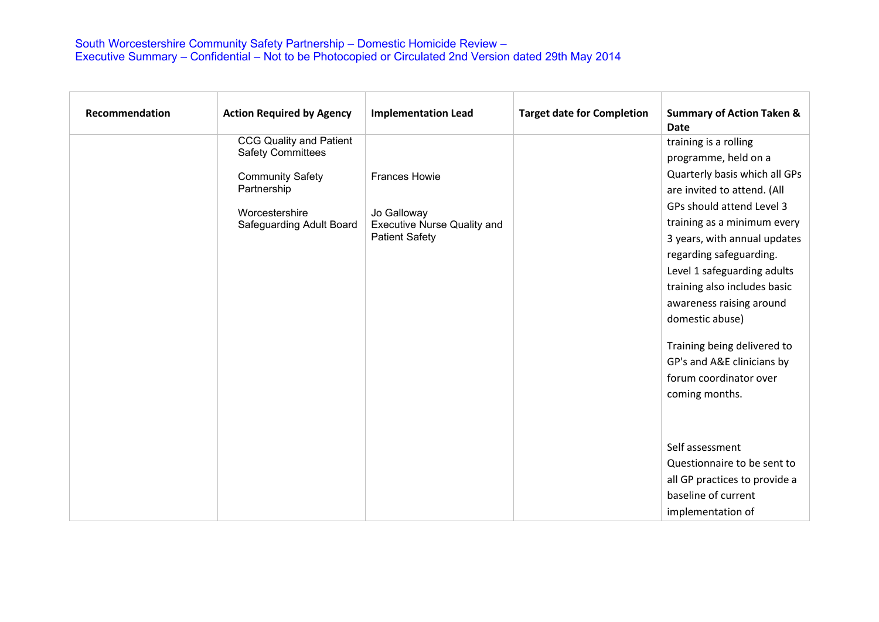| Recommendation | <b>Action Required by Agency</b> | <b>Implementation Lead</b>         | <b>Target date for Completion</b> | <b>Summary of Action Taken &amp;</b><br><b>Date</b> |
|----------------|----------------------------------|------------------------------------|-----------------------------------|-----------------------------------------------------|
|                | <b>CCG Quality and Patient</b>   |                                    |                                   | training is a rolling                               |
|                | <b>Safety Committees</b>         |                                    |                                   | programme, held on a                                |
|                | <b>Community Safety</b>          | <b>Frances Howie</b>               |                                   | Quarterly basis which all GPs                       |
|                | Partnership                      |                                    |                                   | are invited to attend. (All                         |
|                | Worcestershire                   | Jo Galloway                        |                                   | GPs should attend Level 3                           |
|                | Safeguarding Adult Board         | <b>Executive Nurse Quality and</b> |                                   | training as a minimum every                         |
|                |                                  | <b>Patient Safety</b>              |                                   | 3 years, with annual updates                        |
|                |                                  |                                    |                                   | regarding safeguarding.                             |
|                |                                  |                                    |                                   | Level 1 safeguarding adults                         |
|                |                                  |                                    |                                   | training also includes basic                        |
|                |                                  |                                    |                                   | awareness raising around                            |
|                |                                  |                                    |                                   | domestic abuse)                                     |
|                |                                  |                                    |                                   | Training being delivered to                         |
|                |                                  |                                    |                                   | GP's and A&E clinicians by                          |
|                |                                  |                                    |                                   | forum coordinator over                              |
|                |                                  |                                    |                                   | coming months.                                      |
|                |                                  |                                    |                                   |                                                     |
|                |                                  |                                    |                                   |                                                     |
|                |                                  |                                    |                                   |                                                     |
|                |                                  |                                    |                                   | Self assessment                                     |
|                |                                  |                                    |                                   | Questionnaire to be sent to                         |
|                |                                  |                                    |                                   | all GP practices to provide a                       |
|                |                                  |                                    |                                   | baseline of current                                 |
|                |                                  |                                    |                                   | implementation of                                   |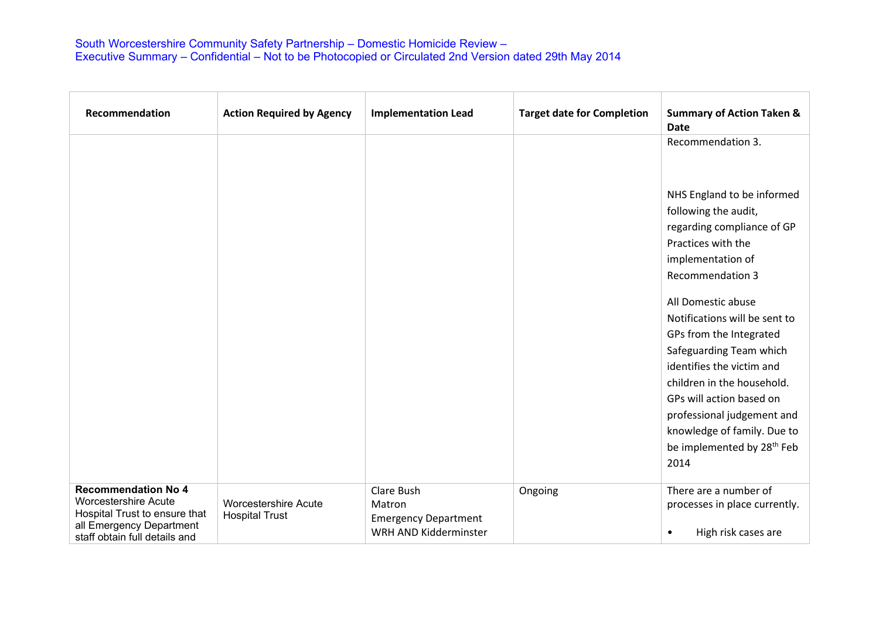| Recommendation                                                                                                                                          | <b>Action Required by Agency</b>                     | <b>Implementation Lead</b>                                                   | <b>Target date for Completion</b> | <b>Summary of Action Taken &amp;</b><br><b>Date</b>                                                                                                                                                                                                                                                                   |
|---------------------------------------------------------------------------------------------------------------------------------------------------------|------------------------------------------------------|------------------------------------------------------------------------------|-----------------------------------|-----------------------------------------------------------------------------------------------------------------------------------------------------------------------------------------------------------------------------------------------------------------------------------------------------------------------|
|                                                                                                                                                         |                                                      |                                                                              |                                   | Recommendation 3.<br>NHS England to be informed<br>following the audit,<br>regarding compliance of GP<br>Practices with the<br>implementation of<br><b>Recommendation 3</b><br>All Domestic abuse<br>Notifications will be sent to<br>GPs from the Integrated<br>Safeguarding Team which<br>identifies the victim and |
|                                                                                                                                                         |                                                      |                                                                              |                                   | children in the household.<br>GPs will action based on<br>professional judgement and<br>knowledge of family. Due to<br>be implemented by 28 <sup>th</sup> Feb<br>2014                                                                                                                                                 |
| <b>Recommendation No 4</b><br><b>Worcestershire Acute</b><br>Hospital Trust to ensure that<br>all Emergency Department<br>staff obtain full details and | <b>Worcestershire Acute</b><br><b>Hospital Trust</b> | Clare Bush<br>Matron<br><b>Emergency Department</b><br>WRH AND Kidderminster | Ongoing                           | There are a number of<br>processes in place currently.<br>High risk cases are<br>$\bullet$                                                                                                                                                                                                                            |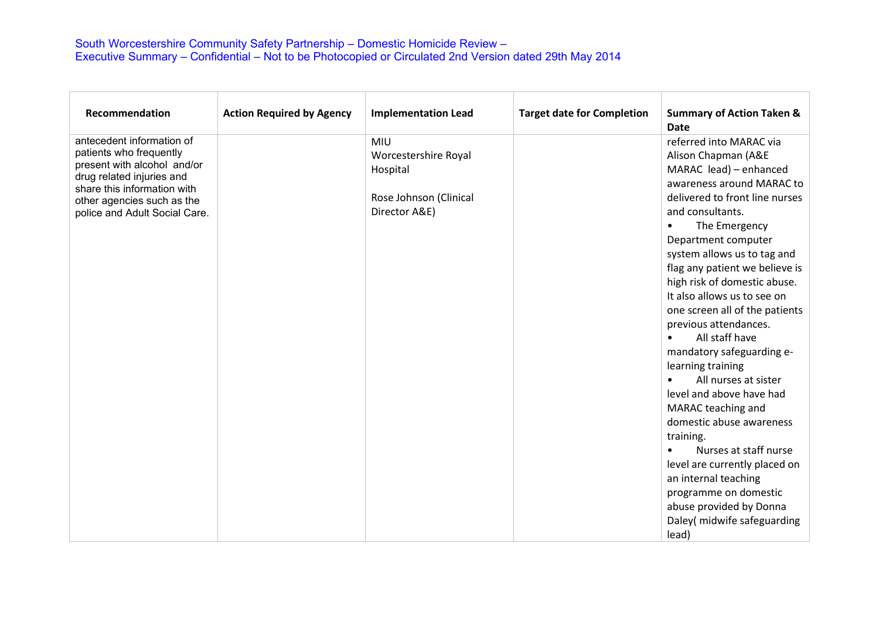| Recommendation                                           | <b>Action Required by Agency</b> | <b>Implementation Lead</b> | <b>Target date for Completion</b> | <b>Summary of Action Taken &amp;</b><br><b>Date</b> |
|----------------------------------------------------------|----------------------------------|----------------------------|-----------------------------------|-----------------------------------------------------|
| antecedent information of                                |                                  | <b>MIU</b>                 |                                   | referred into MARAC via                             |
| patients who frequently                                  |                                  | Worcestershire Royal       |                                   | Alison Chapman (A&E                                 |
| present with alcohol and/or<br>drug related injuries and |                                  | Hospital                   |                                   | MARAC lead) - enhanced                              |
| share this information with                              |                                  |                            |                                   | awareness around MARAC to                           |
| other agencies such as the                               |                                  | Rose Johnson (Clinical     |                                   | delivered to front line nurses                      |
| police and Adult Social Care.                            |                                  | Director A&E)              |                                   | and consultants.                                    |
|                                                          |                                  |                            |                                   | The Emergency<br>$\bullet$                          |
|                                                          |                                  |                            |                                   | Department computer                                 |
|                                                          |                                  |                            |                                   | system allows us to tag and                         |
|                                                          |                                  |                            |                                   | flag any patient we believe is                      |
|                                                          |                                  |                            |                                   | high risk of domestic abuse.                        |
|                                                          |                                  |                            |                                   | It also allows us to see on                         |
|                                                          |                                  |                            |                                   | one screen all of the patients                      |
|                                                          |                                  |                            |                                   | previous attendances.                               |
|                                                          |                                  |                            |                                   | All staff have                                      |
|                                                          |                                  |                            |                                   | mandatory safeguarding e-                           |
|                                                          |                                  |                            |                                   | learning training                                   |
|                                                          |                                  |                            |                                   | All nurses at sister                                |
|                                                          |                                  |                            |                                   | level and above have had                            |
|                                                          |                                  |                            |                                   | MARAC teaching and                                  |
|                                                          |                                  |                            |                                   | domestic abuse awareness                            |
|                                                          |                                  |                            |                                   | training.                                           |
|                                                          |                                  |                            |                                   | Nurses at staff nurse<br>$\bullet$                  |
|                                                          |                                  |                            |                                   | level are currently placed on                       |
|                                                          |                                  |                            |                                   | an internal teaching                                |
|                                                          |                                  |                            |                                   | programme on domestic                               |
|                                                          |                                  |                            |                                   | abuse provided by Donna                             |
|                                                          |                                  |                            |                                   | Daley(midwife safeguarding                          |
|                                                          |                                  |                            |                                   | lead)                                               |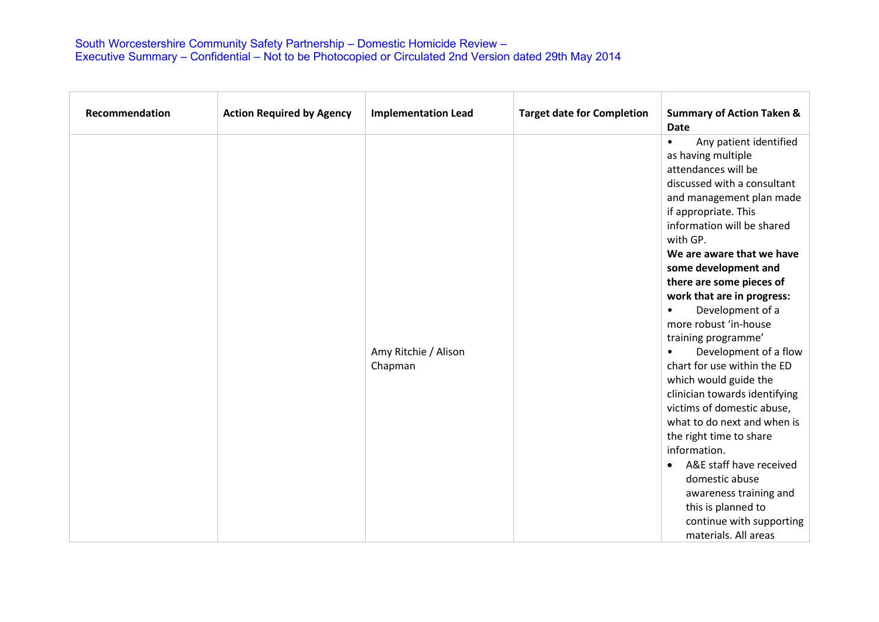| Recommendation | <b>Action Required by Agency</b> | <b>Implementation Lead</b>      | <b>Target date for Completion</b> | <b>Summary of Action Taken &amp;</b><br><b>Date</b>                                                                                                                                                                                                                                                                                                                                                                                                                                                                                                                                                                                                                                                                                                                                                   |
|----------------|----------------------------------|---------------------------------|-----------------------------------|-------------------------------------------------------------------------------------------------------------------------------------------------------------------------------------------------------------------------------------------------------------------------------------------------------------------------------------------------------------------------------------------------------------------------------------------------------------------------------------------------------------------------------------------------------------------------------------------------------------------------------------------------------------------------------------------------------------------------------------------------------------------------------------------------------|
|                |                                  | Amy Ritchie / Alison<br>Chapman |                                   | Any patient identified<br>$\bullet$<br>as having multiple<br>attendances will be<br>discussed with a consultant<br>and management plan made<br>if appropriate. This<br>information will be shared<br>with GP.<br>We are aware that we have<br>some development and<br>there are some pieces of<br>work that are in progress:<br>Development of a<br>$\bullet$<br>more robust 'in-house<br>training programme'<br>Development of a flow<br>chart for use within the ED<br>which would guide the<br>clinician towards identifying<br>victims of domestic abuse,<br>what to do next and when is<br>the right time to share<br>information.<br>A&E staff have received<br>$\bullet$<br>domestic abuse<br>awareness training and<br>this is planned to<br>continue with supporting<br>materials. All areas |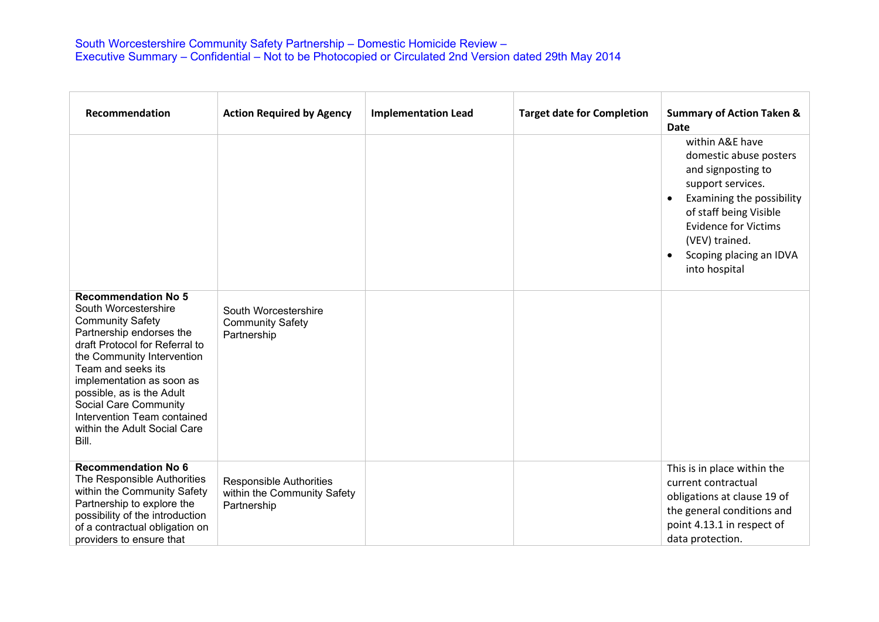| Recommendation                                                                                                                                                                                                                                                                                                                                             | <b>Action Required by Agency</b>                                             | <b>Implementation Lead</b> | <b>Target date for Completion</b> | <b>Summary of Action Taken &amp;</b><br><b>Date</b>                                                                                                                                                                                                                |
|------------------------------------------------------------------------------------------------------------------------------------------------------------------------------------------------------------------------------------------------------------------------------------------------------------------------------------------------------------|------------------------------------------------------------------------------|----------------------------|-----------------------------------|--------------------------------------------------------------------------------------------------------------------------------------------------------------------------------------------------------------------------------------------------------------------|
|                                                                                                                                                                                                                                                                                                                                                            |                                                                              |                            |                                   | within A&E have<br>domestic abuse posters<br>and signposting to<br>support services.<br>Examining the possibility<br>$\bullet$<br>of staff being Visible<br><b>Evidence for Victims</b><br>(VEV) trained.<br>Scoping placing an IDVA<br>$\bullet$<br>into hospital |
| <b>Recommendation No 5</b><br>South Worcestershire<br><b>Community Safety</b><br>Partnership endorses the<br>draft Protocol for Referral to<br>the Community Intervention<br>Team and seeks its<br>implementation as soon as<br>possible, as is the Adult<br>Social Care Community<br>Intervention Team contained<br>within the Adult Social Care<br>Bill. | South Worcestershire<br><b>Community Safety</b><br>Partnership               |                            |                                   |                                                                                                                                                                                                                                                                    |
| <b>Recommendation No 6</b><br>The Responsible Authorities<br>within the Community Safety<br>Partnership to explore the<br>possibility of the introduction<br>of a contractual obligation on<br>providers to ensure that                                                                                                                                    | <b>Responsible Authorities</b><br>within the Community Safety<br>Partnership |                            |                                   | This is in place within the<br>current contractual<br>obligations at clause 19 of<br>the general conditions and<br>point 4.13.1 in respect of<br>data protection.                                                                                                  |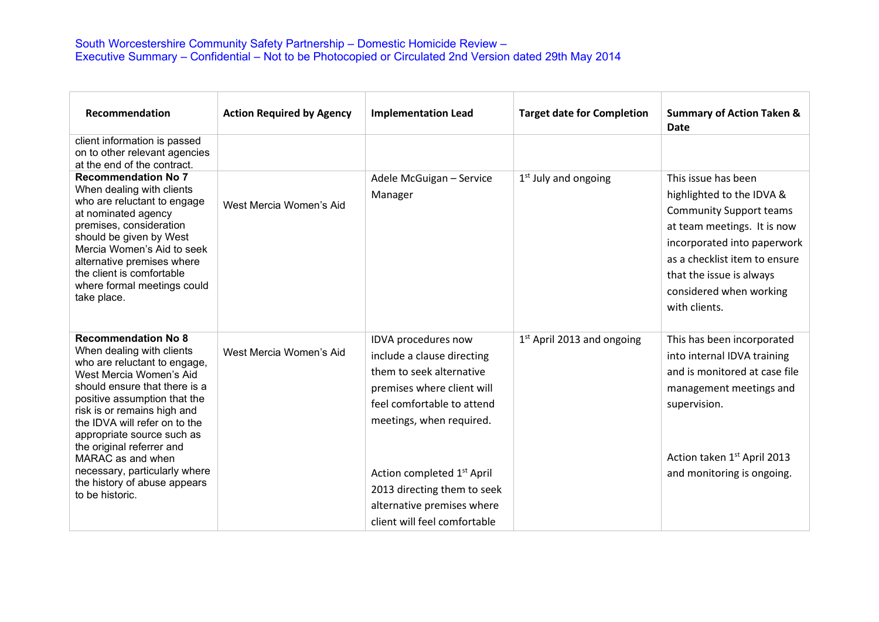| Recommendation                                                                                                                                                                                                                                                                                                 | <b>Action Required by Agency</b> | <b>Implementation Lead</b>                                                                                                                                            | <b>Target date for Completion</b> | <b>Summary of Action Taken &amp;</b><br>Date                                                                                                                                                                                                              |
|----------------------------------------------------------------------------------------------------------------------------------------------------------------------------------------------------------------------------------------------------------------------------------------------------------------|----------------------------------|-----------------------------------------------------------------------------------------------------------------------------------------------------------------------|-----------------------------------|-----------------------------------------------------------------------------------------------------------------------------------------------------------------------------------------------------------------------------------------------------------|
| client information is passed<br>on to other relevant agencies<br>at the end of the contract.                                                                                                                                                                                                                   |                                  |                                                                                                                                                                       |                                   |                                                                                                                                                                                                                                                           |
| <b>Recommendation No 7</b><br>When dealing with clients<br>who are reluctant to engage<br>at nominated agency<br>premises, consideration<br>should be given by West<br>Mercia Women's Aid to seek<br>alternative premises where<br>the client is comfortable<br>where formal meetings could<br>take place.     | West Mercia Women's Aid          | Adele McGuigan - Service<br>Manager                                                                                                                                   | $1st$ July and ongoing            | This issue has been<br>highlighted to the IDVA &<br><b>Community Support teams</b><br>at team meetings. It is now<br>incorporated into paperwork<br>as a checklist item to ensure<br>that the issue is always<br>considered when working<br>with clients. |
| <b>Recommendation No 8</b><br>When dealing with clients<br>who are reluctant to engage,<br>West Mercia Women's Aid<br>should ensure that there is a<br>positive assumption that the<br>risk is or remains high and<br>the IDVA will refer on to the<br>appropriate source such as<br>the original referrer and | West Mercia Women's Aid          | IDVA procedures now<br>include a clause directing<br>them to seek alternative<br>premises where client will<br>feel comfortable to attend<br>meetings, when required. | $1st$ April 2013 and ongoing      | This has been incorporated<br>into internal IDVA training<br>and is monitored at case file<br>management meetings and<br>supervision.                                                                                                                     |
| MARAC as and when<br>necessary, particularly where                                                                                                                                                                                                                                                             |                                  | Action completed 1 <sup>st</sup> April                                                                                                                                |                                   | Action taken 1st April 2013<br>and monitoring is ongoing.                                                                                                                                                                                                 |
| the history of abuse appears<br>to be historic.                                                                                                                                                                                                                                                                |                                  | 2013 directing them to seek                                                                                                                                           |                                   |                                                                                                                                                                                                                                                           |
|                                                                                                                                                                                                                                                                                                                |                                  | alternative premises where                                                                                                                                            |                                   |                                                                                                                                                                                                                                                           |
|                                                                                                                                                                                                                                                                                                                |                                  | client will feel comfortable                                                                                                                                          |                                   |                                                                                                                                                                                                                                                           |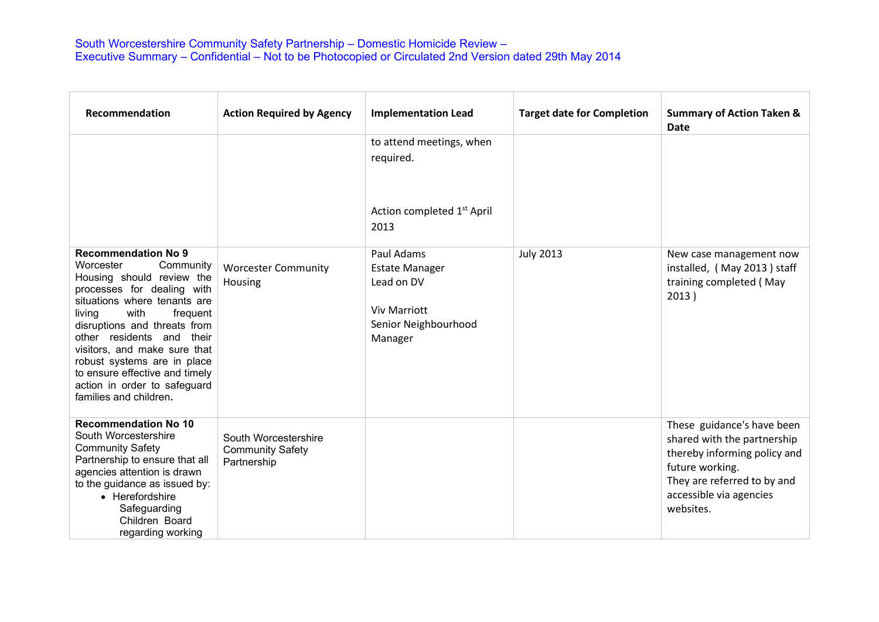| Recommendation                                                                                                                                                                                                                                                                                                                                                                                        | <b>Action Required by Agency</b>                               | <b>Implementation Lead</b>                                                                                  | <b>Target date for Completion</b> | <b>Summary of Action Taken &amp;</b><br><b>Date</b>                                                                                                                                 |
|-------------------------------------------------------------------------------------------------------------------------------------------------------------------------------------------------------------------------------------------------------------------------------------------------------------------------------------------------------------------------------------------------------|----------------------------------------------------------------|-------------------------------------------------------------------------------------------------------------|-----------------------------------|-------------------------------------------------------------------------------------------------------------------------------------------------------------------------------------|
|                                                                                                                                                                                                                                                                                                                                                                                                       |                                                                | to attend meetings, when<br>required.<br>Action completed 1 <sup>st</sup> April<br>2013                     |                                   |                                                                                                                                                                                     |
| <b>Recommendation No 9</b><br>Worcester<br>Community<br>Housing should review the<br>processes for dealing with<br>situations where tenants are<br>with<br>living<br>frequent<br>disruptions and threats from<br>other residents and their<br>visitors, and make sure that<br>robust systems are in place<br>to ensure effective and timely<br>action in order to safeguard<br>families and children. | <b>Worcester Community</b><br>Housing                          | Paul Adams<br><b>Estate Manager</b><br>Lead on DV<br><b>Viv Marriott</b><br>Senior Neighbourhood<br>Manager | <b>July 2013</b>                  | New case management now<br>installed, (May 2013) staff<br>training completed (May<br>2013)                                                                                          |
| <b>Recommendation No 10</b><br>South Worcestershire<br><b>Community Safety</b><br>Partnership to ensure that all<br>agencies attention is drawn<br>to the guidance as issued by:<br>• Herefordshire<br>Safeguarding<br>Children Board<br>regarding working                                                                                                                                            | South Worcestershire<br><b>Community Safety</b><br>Partnership |                                                                                                             |                                   | These guidance's have been<br>shared with the partnership<br>thereby informing policy and<br>future working.<br>They are referred to by and<br>accessible via agencies<br>websites. |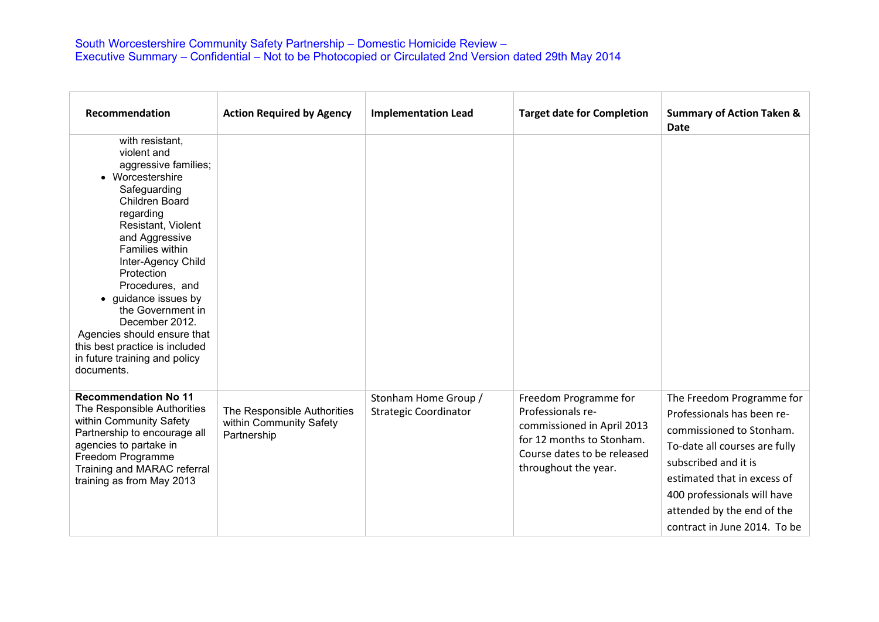| Recommendation                                                                                                                                                                                                                                                                                                                                                                                                                    | <b>Action Required by Agency</b>                                      | <b>Implementation Lead</b>                           | <b>Target date for Completion</b>                                                                                                                            | <b>Summary of Action Taken &amp;</b><br><b>Date</b>                                                                                                                                                                                                                      |
|-----------------------------------------------------------------------------------------------------------------------------------------------------------------------------------------------------------------------------------------------------------------------------------------------------------------------------------------------------------------------------------------------------------------------------------|-----------------------------------------------------------------------|------------------------------------------------------|--------------------------------------------------------------------------------------------------------------------------------------------------------------|--------------------------------------------------------------------------------------------------------------------------------------------------------------------------------------------------------------------------------------------------------------------------|
| with resistant,<br>violent and<br>aggressive families;<br>• Worcestershire<br>Safeguarding<br><b>Children Board</b><br>regarding<br>Resistant, Violent<br>and Aggressive<br>Families within<br>Inter-Agency Child<br>Protection<br>Procedures, and<br>• guidance issues by<br>the Government in<br>December 2012.<br>Agencies should ensure that<br>this best practice is included<br>in future training and policy<br>documents. |                                                                       |                                                      |                                                                                                                                                              |                                                                                                                                                                                                                                                                          |
| <b>Recommendation No 11</b><br>The Responsible Authorities<br>within Community Safety<br>Partnership to encourage all<br>agencies to partake in<br>Freedom Programme<br>Training and MARAC referral<br>training as from May 2013                                                                                                                                                                                                  | The Responsible Authorities<br>within Community Safety<br>Partnership | Stonham Home Group /<br><b>Strategic Coordinator</b> | Freedom Programme for<br>Professionals re-<br>commissioned in April 2013<br>for 12 months to Stonham.<br>Course dates to be released<br>throughout the year. | The Freedom Programme for<br>Professionals has been re-<br>commissioned to Stonham.<br>To-date all courses are fully<br>subscribed and it is<br>estimated that in excess of<br>400 professionals will have<br>attended by the end of the<br>contract in June 2014. To be |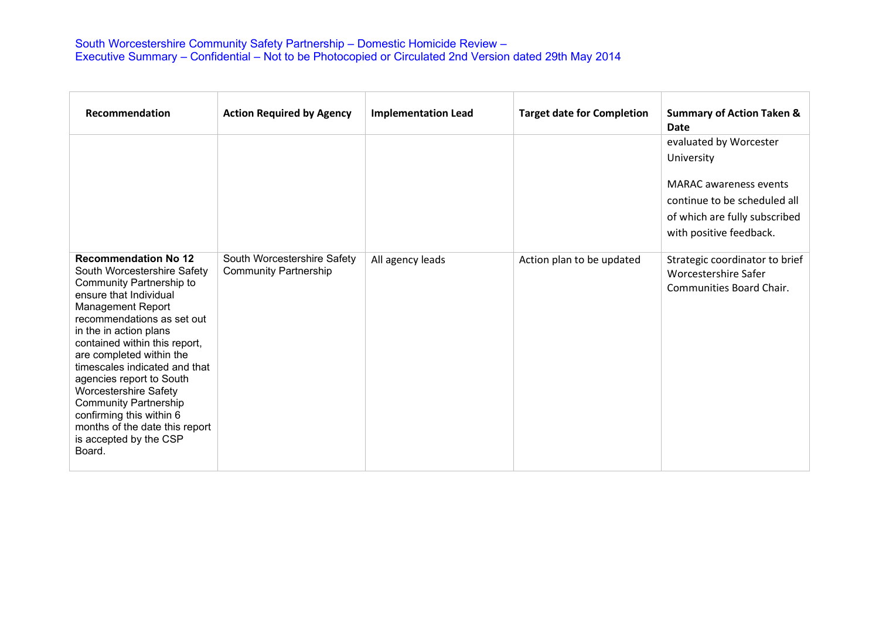| Recommendation                                                                                                                                                                                                                                                                                                                                                                                                                                                                                          | <b>Action Required by Agency</b>                            | <b>Implementation Lead</b> | <b>Target date for Completion</b> | <b>Summary of Action Taken &amp;</b><br>Date                                       |
|---------------------------------------------------------------------------------------------------------------------------------------------------------------------------------------------------------------------------------------------------------------------------------------------------------------------------------------------------------------------------------------------------------------------------------------------------------------------------------------------------------|-------------------------------------------------------------|----------------------------|-----------------------------------|------------------------------------------------------------------------------------|
|                                                                                                                                                                                                                                                                                                                                                                                                                                                                                                         |                                                             |                            |                                   | evaluated by Worcester                                                             |
|                                                                                                                                                                                                                                                                                                                                                                                                                                                                                                         |                                                             |                            |                                   | University                                                                         |
|                                                                                                                                                                                                                                                                                                                                                                                                                                                                                                         |                                                             |                            |                                   | <b>MARAC</b> awareness events                                                      |
|                                                                                                                                                                                                                                                                                                                                                                                                                                                                                                         |                                                             |                            |                                   | continue to be scheduled all                                                       |
|                                                                                                                                                                                                                                                                                                                                                                                                                                                                                                         |                                                             |                            |                                   | of which are fully subscribed<br>with positive feedback.                           |
| <b>Recommendation No 12</b><br>South Worcestershire Safety<br><b>Community Partnership to</b><br>ensure that Individual<br><b>Management Report</b><br>recommendations as set out<br>in the in action plans<br>contained within this report,<br>are completed within the<br>timescales indicated and that<br>agencies report to South<br><b>Worcestershire Safety</b><br><b>Community Partnership</b><br>confirming this within 6<br>months of the date this report<br>is accepted by the CSP<br>Board. | South Worcestershire Safety<br><b>Community Partnership</b> | All agency leads           | Action plan to be updated         | Strategic coordinator to brief<br>Worcestershire Safer<br>Communities Board Chair. |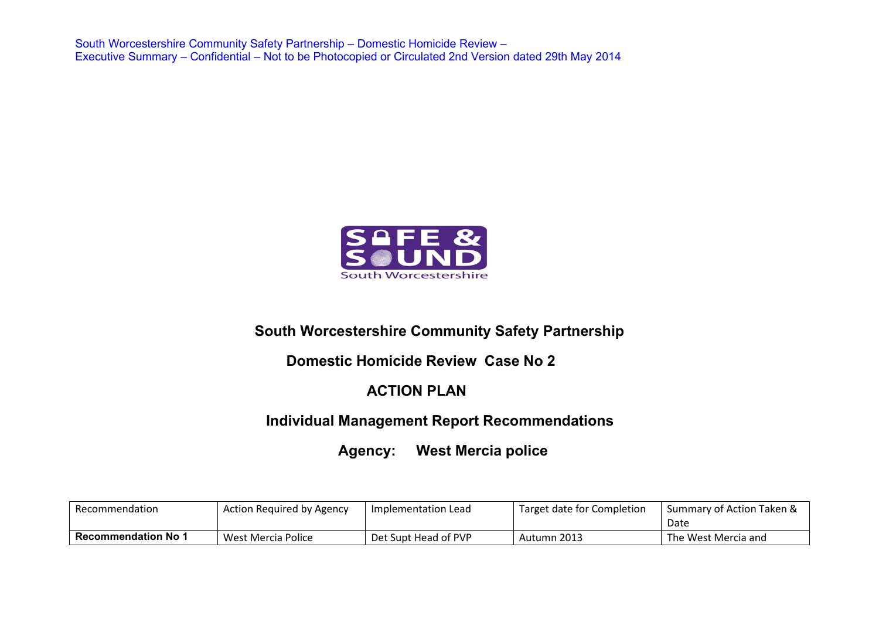

# **South Worcestershire Community Safety Partnership**

### **Domestic Homicide Review Case No 2**

# **ACTION PLAN**

# **Individual Management Report Recommendations**

# **Agency: West Mercia police**

| Recommendation             | <b>Action Required by Agency</b> | Implementation Lead  | Target date for Completion | Summary of Action Taken &<br>Date |
|----------------------------|----------------------------------|----------------------|----------------------------|-----------------------------------|
| <b>Recommendation No 1</b> | West Mercia Police               | Det Supt Head of PVP | Autumn 2013                | The West Mercia and               |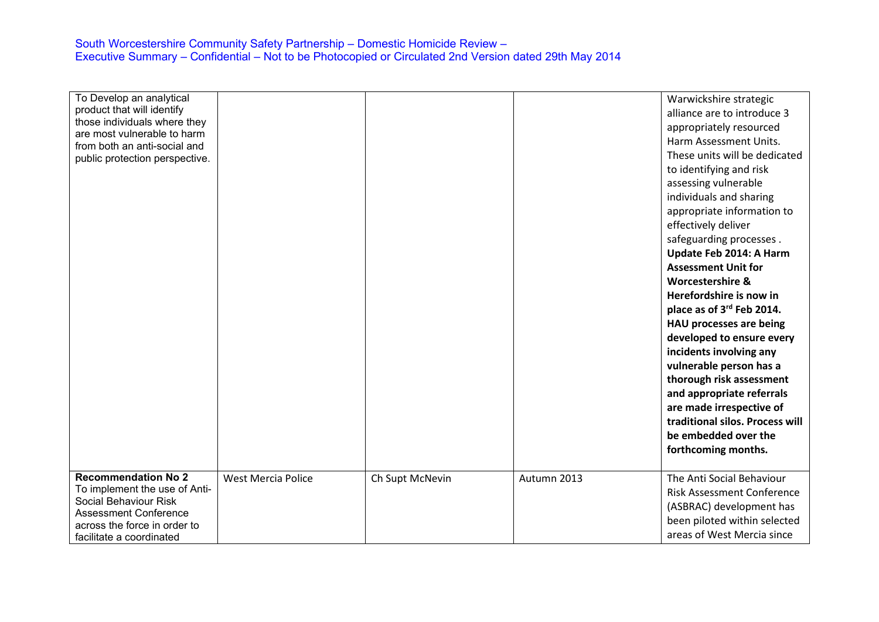| To Develop an analytical<br>product that will identify<br>those individuals where they |                           |                 |             | Warwickshire strategic<br>alliance are to introduce 3<br>appropriately resourced |
|----------------------------------------------------------------------------------------|---------------------------|-----------------|-------------|----------------------------------------------------------------------------------|
| are most vulnerable to harm                                                            |                           |                 |             | Harm Assessment Units.                                                           |
| from both an anti-social and                                                           |                           |                 |             | These units will be dedicated                                                    |
| public protection perspective.                                                         |                           |                 |             | to identifying and risk                                                          |
|                                                                                        |                           |                 |             | assessing vulnerable                                                             |
|                                                                                        |                           |                 |             | individuals and sharing                                                          |
|                                                                                        |                           |                 |             |                                                                                  |
|                                                                                        |                           |                 |             | appropriate information to                                                       |
|                                                                                        |                           |                 |             | effectively deliver                                                              |
|                                                                                        |                           |                 |             | safeguarding processes.                                                          |
|                                                                                        |                           |                 |             | Update Feb 2014: A Harm                                                          |
|                                                                                        |                           |                 |             | <b>Assessment Unit for</b>                                                       |
|                                                                                        |                           |                 |             | <b>Worcestershire &amp;</b>                                                      |
|                                                                                        |                           |                 |             | Herefordshire is now in                                                          |
|                                                                                        |                           |                 |             | place as of 3 <sup>rd</sup> Feb 2014.                                            |
|                                                                                        |                           |                 |             | HAU processes are being                                                          |
|                                                                                        |                           |                 |             | developed to ensure every                                                        |
|                                                                                        |                           |                 |             | incidents involving any                                                          |
|                                                                                        |                           |                 |             | vulnerable person has a                                                          |
|                                                                                        |                           |                 |             | thorough risk assessment                                                         |
|                                                                                        |                           |                 |             | and appropriate referrals                                                        |
|                                                                                        |                           |                 |             | are made irrespective of                                                         |
|                                                                                        |                           |                 |             | traditional silos. Process will                                                  |
|                                                                                        |                           |                 |             | be embedded over the                                                             |
|                                                                                        |                           |                 |             | forthcoming months.                                                              |
|                                                                                        |                           |                 |             |                                                                                  |
| <b>Recommendation No 2</b>                                                             | <b>West Mercia Police</b> | Ch Supt McNevin | Autumn 2013 | The Anti Social Behaviour                                                        |
| To implement the use of Anti-                                                          |                           |                 |             | <b>Risk Assessment Conference</b>                                                |
| Social Behaviour Risk<br><b>Assessment Conference</b>                                  |                           |                 |             | (ASBRAC) development has                                                         |
| across the force in order to                                                           |                           |                 |             | been piloted within selected                                                     |
| facilitate a coordinated                                                               |                           |                 |             | areas of West Mercia since                                                       |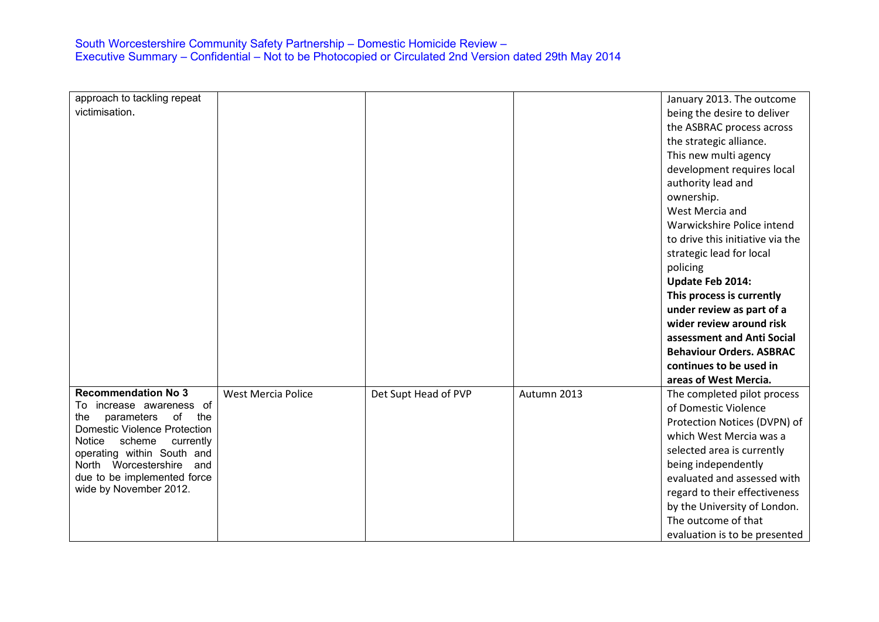| approach to tackling repeat                                    |                           |                      |             | January 2013. The outcome        |
|----------------------------------------------------------------|---------------------------|----------------------|-------------|----------------------------------|
| victimisation.                                                 |                           |                      |             | being the desire to deliver      |
|                                                                |                           |                      |             | the ASBRAC process across        |
|                                                                |                           |                      |             | the strategic alliance.          |
|                                                                |                           |                      |             | This new multi agency            |
|                                                                |                           |                      |             | development requires local       |
|                                                                |                           |                      |             | authority lead and               |
|                                                                |                           |                      |             | ownership.                       |
|                                                                |                           |                      |             | West Mercia and                  |
|                                                                |                           |                      |             | Warwickshire Police intend       |
|                                                                |                           |                      |             | to drive this initiative via the |
|                                                                |                           |                      |             | strategic lead for local         |
|                                                                |                           |                      |             | policing                         |
|                                                                |                           |                      |             | Update Feb 2014:                 |
|                                                                |                           |                      |             | This process is currently        |
|                                                                |                           |                      |             | under review as part of a        |
|                                                                |                           |                      |             | wider review around risk         |
|                                                                |                           |                      |             | assessment and Anti Social       |
|                                                                |                           |                      |             | <b>Behaviour Orders, ASBRAC</b>  |
|                                                                |                           |                      |             | continues to be used in          |
|                                                                |                           |                      |             | areas of West Mercia.            |
| <b>Recommendation No 3</b>                                     | <b>West Mercia Police</b> | Det Supt Head of PVP | Autumn 2013 | The completed pilot process      |
| To increase awareness of<br>the                                |                           |                      |             | of Domestic Violence             |
| parameters<br>of<br>the<br><b>Domestic Violence Protection</b> |                           |                      |             | Protection Notices (DVPN) of     |
| Notice<br>scheme<br>currently                                  |                           |                      |             | which West Mercia was a          |
| operating within South and                                     |                           |                      |             | selected area is currently       |
| North Worcestershire<br>and                                    |                           |                      |             | being independently              |
| due to be implemented force                                    |                           |                      |             | evaluated and assessed with      |
| wide by November 2012.                                         |                           |                      |             | regard to their effectiveness    |
|                                                                |                           |                      |             | by the University of London.     |
|                                                                |                           |                      |             | The outcome of that              |
|                                                                |                           |                      |             | evaluation is to be presented    |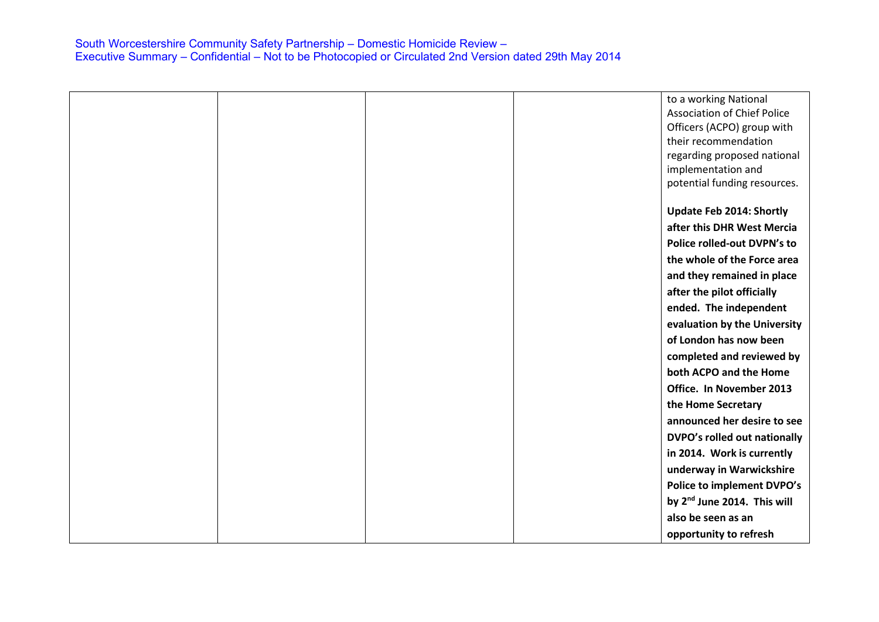|  |  | to a working National                   |
|--|--|-----------------------------------------|
|  |  | <b>Association of Chief Police</b>      |
|  |  | Officers (ACPO) group with              |
|  |  | their recommendation                    |
|  |  | regarding proposed national             |
|  |  | implementation and                      |
|  |  | potential funding resources.            |
|  |  |                                         |
|  |  | <b>Update Feb 2014: Shortly</b>         |
|  |  | after this DHR West Mercia              |
|  |  | Police rolled-out DVPN's to             |
|  |  | the whole of the Force area             |
|  |  | and they remained in place              |
|  |  | after the pilot officially              |
|  |  | ended. The independent                  |
|  |  | evaluation by the University            |
|  |  | of London has now been                  |
|  |  | completed and reviewed by               |
|  |  | both ACPO and the Home                  |
|  |  | Office. In November 2013                |
|  |  | the Home Secretary                      |
|  |  | announced her desire to see             |
|  |  | DVPO's rolled out nationally            |
|  |  | in 2014. Work is currently              |
|  |  | underway in Warwickshire                |
|  |  | <b>Police to implement DVPO's</b>       |
|  |  | by 2 <sup>nd</sup> June 2014. This will |
|  |  | also be seen as an                      |
|  |  | opportunity to refresh                  |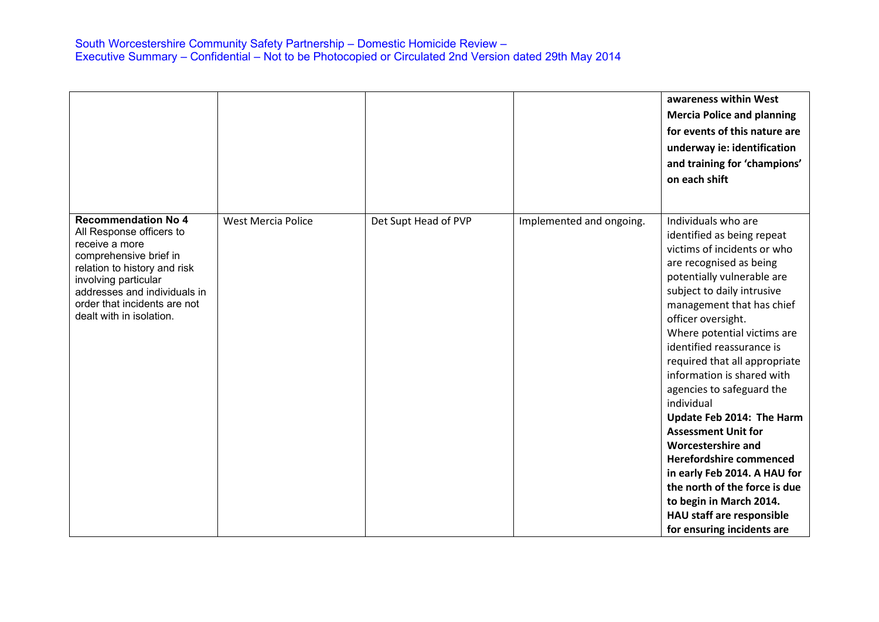|                                                                                                                                                                                                                                                        |                           |                      |                          | awareness within West<br><b>Mercia Police and planning</b><br>for events of this nature are<br>underway ie: identification<br>and training for 'champions'<br>on each shift                                                                                                                                                                                                                                                                                                                                                                                                                                                                                                |
|--------------------------------------------------------------------------------------------------------------------------------------------------------------------------------------------------------------------------------------------------------|---------------------------|----------------------|--------------------------|----------------------------------------------------------------------------------------------------------------------------------------------------------------------------------------------------------------------------------------------------------------------------------------------------------------------------------------------------------------------------------------------------------------------------------------------------------------------------------------------------------------------------------------------------------------------------------------------------------------------------------------------------------------------------|
| <b>Recommendation No 4</b><br>All Response officers to<br>receive a more<br>comprehensive brief in<br>relation to history and risk<br>involving particular<br>addresses and individuals in<br>order that incidents are not<br>dealt with in isolation. | <b>West Mercia Police</b> | Det Supt Head of PVP | Implemented and ongoing. | Individuals who are<br>identified as being repeat<br>victims of incidents or who<br>are recognised as being<br>potentially vulnerable are<br>subject to daily intrusive<br>management that has chief<br>officer oversight.<br>Where potential victims are<br>identified reassurance is<br>required that all appropriate<br>information is shared with<br>agencies to safeguard the<br>individual<br>Update Feb 2014: The Harm<br><b>Assessment Unit for</b><br><b>Worcestershire and</b><br>Herefordshire commenced<br>in early Feb 2014. A HAU for<br>the north of the force is due<br>to begin in March 2014.<br>HAU staff are responsible<br>for ensuring incidents are |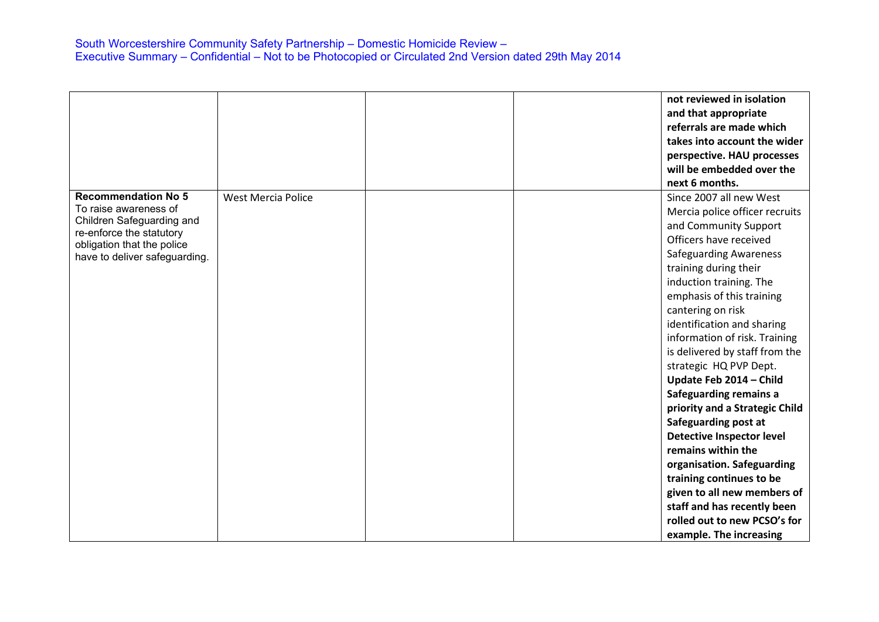|                                                        |                           |  | not reviewed in isolation        |
|--------------------------------------------------------|---------------------------|--|----------------------------------|
|                                                        |                           |  | and that appropriate             |
|                                                        |                           |  | referrals are made which         |
|                                                        |                           |  | takes into account the wider     |
|                                                        |                           |  | perspective. HAU processes       |
|                                                        |                           |  | will be embedded over the        |
|                                                        |                           |  | next 6 months.                   |
| <b>Recommendation No 5</b>                             | <b>West Mercia Police</b> |  | Since 2007 all new West          |
| To raise awareness of                                  |                           |  | Mercia police officer recruits   |
| Children Safeguarding and                              |                           |  | and Community Support            |
| re-enforce the statutory<br>obligation that the police |                           |  | Officers have received           |
| have to deliver safeguarding.                          |                           |  | <b>Safeguarding Awareness</b>    |
|                                                        |                           |  | training during their            |
|                                                        |                           |  | induction training. The          |
|                                                        |                           |  | emphasis of this training        |
|                                                        |                           |  | cantering on risk                |
|                                                        |                           |  | identification and sharing       |
|                                                        |                           |  | information of risk. Training    |
|                                                        |                           |  | is delivered by staff from the   |
|                                                        |                           |  | strategic HQ PVP Dept.           |
|                                                        |                           |  | Update Feb 2014 - Child          |
|                                                        |                           |  | Safeguarding remains a           |
|                                                        |                           |  | priority and a Strategic Child   |
|                                                        |                           |  | Safeguarding post at             |
|                                                        |                           |  | <b>Detective Inspector level</b> |
|                                                        |                           |  | remains within the               |
|                                                        |                           |  | organisation. Safeguarding       |
|                                                        |                           |  | training continues to be         |
|                                                        |                           |  | given to all new members of      |
|                                                        |                           |  | staff and has recently been      |
|                                                        |                           |  | rolled out to new PCSO's for     |
|                                                        |                           |  | example. The increasing          |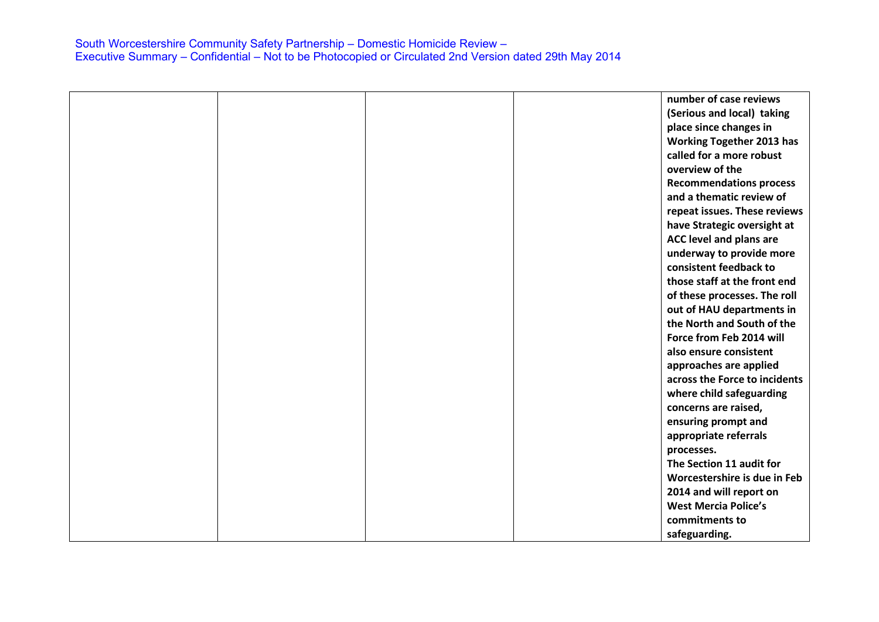|  |  | number of case reviews           |
|--|--|----------------------------------|
|  |  | (Serious and local) taking       |
|  |  | place since changes in           |
|  |  | <b>Working Together 2013 has</b> |
|  |  | called for a more robust         |
|  |  | overview of the                  |
|  |  | <b>Recommendations process</b>   |
|  |  | and a thematic review of         |
|  |  | repeat issues. These reviews     |
|  |  | have Strategic oversight at      |
|  |  | ACC level and plans are          |
|  |  | underway to provide more         |
|  |  | consistent feedback to           |
|  |  | those staff at the front end     |
|  |  | of these processes. The roll     |
|  |  | out of HAU departments in        |
|  |  | the North and South of the       |
|  |  | Force from Feb 2014 will         |
|  |  | also ensure consistent           |
|  |  | approaches are applied           |
|  |  | across the Force to incidents    |
|  |  | where child safeguarding         |
|  |  | concerns are raised,             |
|  |  | ensuring prompt and              |
|  |  | appropriate referrals            |
|  |  | processes.                       |
|  |  | The Section 11 audit for         |
|  |  | Worcestershire is due in Feb     |
|  |  | 2014 and will report on          |
|  |  | <b>West Mercia Police's</b>      |
|  |  | commitments to                   |
|  |  | safeguarding.                    |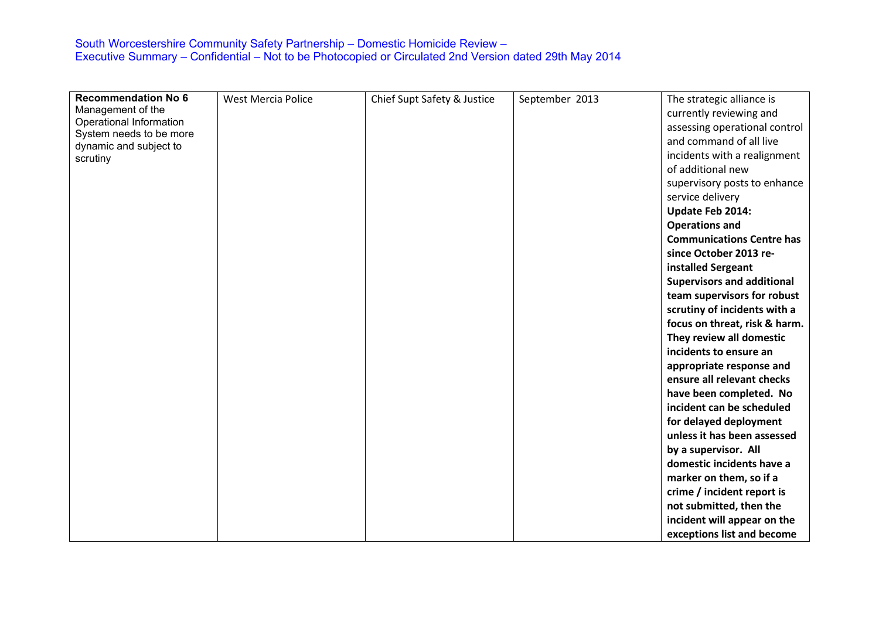| <b>Recommendation No 6</b><br>Management of the | <b>West Mercia Police</b> | Chief Supt Safety & Justice | September 2013 | The strategic alliance is<br>currently reviewing and |
|-------------------------------------------------|---------------------------|-----------------------------|----------------|------------------------------------------------------|
| Operational Information                         |                           |                             |                | assessing operational control                        |
| System needs to be more                         |                           |                             |                | and command of all live                              |
| dynamic and subject to<br>scrutiny              |                           |                             |                | incidents with a realignment                         |
|                                                 |                           |                             |                | of additional new                                    |
|                                                 |                           |                             |                | supervisory posts to enhance                         |
|                                                 |                           |                             |                | service delivery                                     |
|                                                 |                           |                             |                | Update Feb 2014:                                     |
|                                                 |                           |                             |                | <b>Operations and</b>                                |
|                                                 |                           |                             |                | <b>Communications Centre has</b>                     |
|                                                 |                           |                             |                | since October 2013 re-                               |
|                                                 |                           |                             |                | installed Sergeant                                   |
|                                                 |                           |                             |                | <b>Supervisors and additional</b>                    |
|                                                 |                           |                             |                | team supervisors for robust                          |
|                                                 |                           |                             |                | scrutiny of incidents with a                         |
|                                                 |                           |                             |                | focus on threat, risk & harm.                        |
|                                                 |                           |                             |                | They review all domestic                             |
|                                                 |                           |                             |                | incidents to ensure an                               |
|                                                 |                           |                             |                | appropriate response and                             |
|                                                 |                           |                             |                | ensure all relevant checks                           |
|                                                 |                           |                             |                | have been completed. No                              |
|                                                 |                           |                             |                | incident can be scheduled                            |
|                                                 |                           |                             |                | for delayed deployment                               |
|                                                 |                           |                             |                | unless it has been assessed                          |
|                                                 |                           |                             |                | by a supervisor. All                                 |
|                                                 |                           |                             |                | domestic incidents have a                            |
|                                                 |                           |                             |                | marker on them, so if a                              |
|                                                 |                           |                             |                | crime / incident report is                           |
|                                                 |                           |                             |                | not submitted, then the                              |
|                                                 |                           |                             |                | incident will appear on the                          |
|                                                 |                           |                             |                | exceptions list and become                           |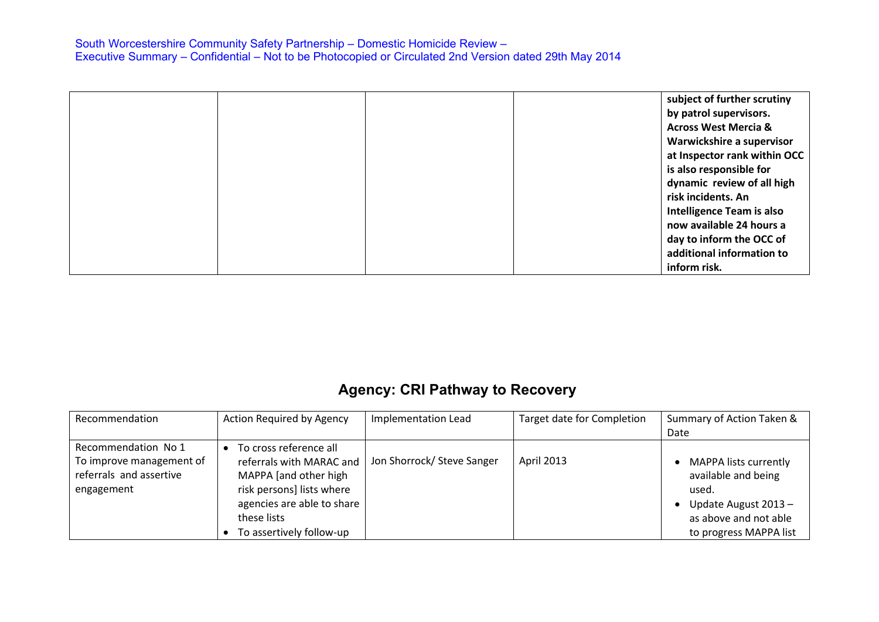|  |  | subject of further scrutiny      |
|--|--|----------------------------------|
|  |  | by patrol supervisors.           |
|  |  | <b>Across West Mercia &amp;</b>  |
|  |  | Warwickshire a supervisor        |
|  |  | at Inspector rank within OCC     |
|  |  | is also responsible for          |
|  |  | dynamic review of all high       |
|  |  | risk incidents. An               |
|  |  | <b>Intelligence Team is also</b> |
|  |  | now available 24 hours a         |
|  |  | day to inform the OCC of         |
|  |  | additional information to        |
|  |  | inform risk.                     |

# **Agency: CRI Pathway to Recovery**

| Recommendation                                                                           | <b>Action Required by Agency</b>                                                                                                                                                  | <b>Implementation Lead</b> | Target date for Completion | Summary of Action Taken &<br>Date                                                                                                      |
|------------------------------------------------------------------------------------------|-----------------------------------------------------------------------------------------------------------------------------------------------------------------------------------|----------------------------|----------------------------|----------------------------------------------------------------------------------------------------------------------------------------|
| Recommendation No 1<br>To improve management of<br>referrals and assertive<br>engagement | To cross reference all<br>referrals with MARAC and<br>MAPPA [and other high<br>risk persons] lists where<br>agencies are able to share<br>these lists<br>To assertively follow-up | Jon Shorrock/ Steve Sanger | <b>April 2013</b>          | <b>MAPPA lists currently</b><br>available and being<br>used.<br>Update August 2013-<br>as above and not able<br>to progress MAPPA list |